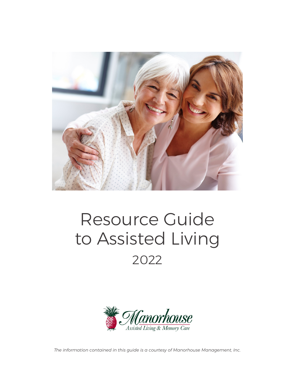

# Resource Guide to Assisted Living 2022



*The information contained in this guide is a courtesy of Manorhouse Management, Inc.*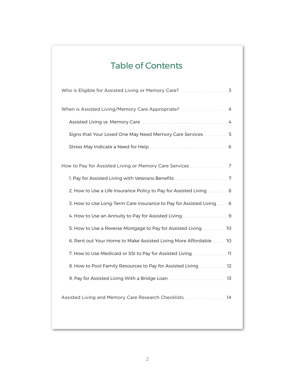# Table of Contents

| When is Assisted Living/Memory Care Appropriate? 4                  |
|---------------------------------------------------------------------|
|                                                                     |
| Signs that Your Loved One May Need Memory Care Services  5          |
|                                                                     |
|                                                                     |
|                                                                     |
| 2. How to Use a Life Insurance Policy to Pay for Assisted Living 8  |
| 3. How to Use Long-Term Care Insurance to Pay for Assisted Living 8 |
| 4. How to Use an Annuity to Pay for Assisted Living 9               |
| 5. How to Use a Reverse Mortgage to Pay for Assisted Living 10      |
| 6. Rent out Your Home to Make Assisted Living More Affordable  10   |
| 7. How to Use Medicaid or SSI to Pay for Assisted Living 11         |
| 8. How to Pool Family Resources to Pay for Assisted Living 12       |
|                                                                     |
| Assisted Living and Memory Care Research Checklists 14              |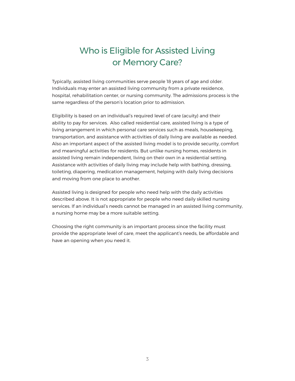# <span id="page-2-0"></span>Who is Eligible for Assisted Living or Memory Care?

Typically, assisted living communities serve people 18 years of age and older. Individuals may enter an assisted living community from a private residence, hospital, rehabilitation center, or nursing community. The admissions process is the same regardless of the person's location prior to admission.

Eligibility is based on an individual's required level of care (acuity) and their ability to pay for services. Also called residential care, assisted living is a type of living arrangement in which personal care services such as meals, housekeeping, transportation, and assistance with activities of daily living are available as needed. Also an important aspect of the assisted living model is to provide security, comfort and meaningful activities for residents. But unlike nursing homes, residents in assisted living remain independent, living on their own in a residential setting. Assistance with activities of daily living may include help with bathing, dressing, toileting, diapering, medication management, helping with daily living decisions and moving from one place to another.

Assisted living is designed for people who need help with the daily activities described above. It is not appropriate for people who need daily skilled nursing services. If an individual's needs cannot be managed in an assisted living community, a nursing home may be a more suitable setting.

Choosing the right community is an important process since the facility must provide the appropriate level of care, meet the applicant's needs, be affordable and have an opening when you need it.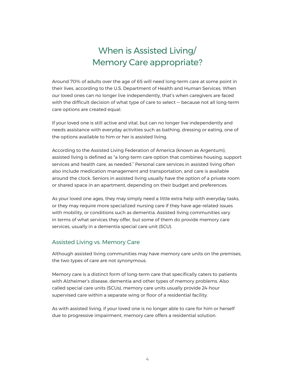# When is Assisted Living/ Memory Care appropriate?

<span id="page-3-0"></span>Around 70% of adults over the age of 65 will need long-term care at some point in their lives, according to the U.S. Department of Health and Human Services. When our loved ones can no longer live independently, that's when caregivers are faced with the difficult decision of what type of care to select — because not all long-term care options are created equal.

If your loved one is still active and vital, but can no longer live independently and needs assistance with everyday activities such as bathing, dressing or eating, one of the options available to him or her is assisted living.

According to the Assisted Living Federation of America (known as Argentum), assisted living is defined as "a long-term care option that combines housing, support services and health care, as needed." Personal care services in assisted living often also include medication management and transportation, and care is available around the clock. Seniors in assisted living usually have the option of a private room or shared space in an apartment, depending on their budget and preferences.

As your loved one ages, they may simply need a little extra help with everyday tasks, or they may require more specialized nursing care if they have age-related issues with mobility, or conditions such as dementia. Assisted living communities vary in terms of what services they offer, but some of them do provide memory care services, usually in a dementia special care unit (SCU).

### Assisted Living vs. Memory Care

Although assisted living communities may have memory care units on the premises, the two types of care are not synonymous.

Memory care is a distinct form of long-term care that specifically caters to patients with Alzheimer's disease, dementia and other types of memory problems. Also called special care units (SCUs), memory care units usually provide 24-hour supervised care within a separate wing or floor of a residential facility.

As with assisted living, if your loved one is no longer able to care for him or herself due to progressive impairment, memory care offers a residential solution.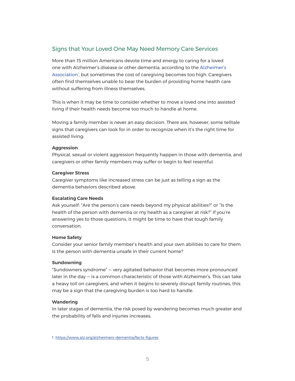# <span id="page-4-0"></span>Signs that Your Loved One May Need Memory Care Services

More than 15 million Americans devote time and energy to caring for a loved one with [Alzheimer's](https://www.alz.org/alzheimers-dementia/facts-figures) disease or other dementia, according to the Alzheimer's Association<sup>1</sup>, but sometimes the cost of caregiving becomes too high. Caregivers often find themselves unable to bear the burden of providing home health care without suffering from illness themselves.

This is when it may be time to consider whether to move a loved one into assisted living if their health needs become too much to handle at home.

Moving a family member is never an easy decision. There are, however, some telltale signs that caregivers can look for in order to recognize when it's the right time for assisted living:

#### **Aggression**

Physical, sexual or violent aggression frequently happen in those with dementia, and caregivers or other family members may suffer or begin to feel resentful.

#### **Caregiver Stress**

Caregiver symptoms like increased stress can be just as telling a sign as the dementia behaviors described above.

### **Escalating Care Needs**

Ask yourself: "Are the person's care needs beyond my physical abilities?" or "Is the health of the person with dementia or my health as a caregiver at risk?" If you're answering yes to those questions, it might be time to have that tough family conversation.

### **Home Safety**

Consider your senior family member's health and your own abilities to care for them. Is the person with dementia unsafe in their current home?

### **Sundowning**

"Sundowners syndrome" — very agitated behavior that becomes more pronounced later in the day — is a common characteristic of those with Alzheimer's. This can take a heavy toll on caregivers, and when it begins to severely disrupt family routines, this may be a sign that the caregiving burden is too hard to handle.

### **Wandering**

In later stages of dementia, the risk posed by wandering becomes much greater and the probability of falls and injuries increases.

1 <https://www.alz.org/alzheimers-dementia/facts-figures>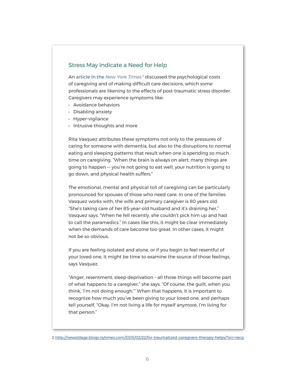### <span id="page-5-0"></span>Stress May Indicate a Need for Help

An article in the *[New York Times](http://newoldage.blogs.nytimes.com/2013/02/22/for-traumatized-caregivers-therapy-helps/?src=recg)* <sup>2</sup> discussed the psychological costs of caregiving and of making difficult care decisions, which some professionals are likening to the effects of post-traumatic stress disorder. Caregivers may experience symptoms like:

- • Avoidance behaviors
- • Disabling anxiety
- • Hyper-vigilance
- $\cdot$  Intrusive thoughts and more

Rita Vasquez attributes these symptoms not only to the pressures of caring for someone with dementia, but also to the disruptions to normal eating and sleeping patterns that result when one is spending so much time on caregiving. "When the brain is always on alert, many things are going to happen — you're not going to eat well, your nutrition is going to go down, and physical health suffers."

The emotional, mental and physical toll of caregiving can be particularly pronounced for spouses of those who need care. In one of the families Vasquez works with, the wife and primary caregiver is 80 years old. "She's taking care of her 85-year-old husband and it's draining her," Vasquez says. "When he fell recently, she couldn't pick him up and had to call the paramedics." In cases like this, it might be clear immediately when the demands of care become too great. In other cases, it might not be so obvious.

If you are feeling isolated and alone, or if you begin to feel resentful of your loved one, it might be time to examine the source of those feelings, says Vasquez.

"Anger, resentment, sleep deprivation – all those things will become part of what happens to a caregiver," she says. "Of course, the guilt, when you think, 'I'm not doing enough.'" When that happens, it is important to recognize how much you've been giving to your loved one, and perhaps tell yourself, "Okay, I'm not living a life for myself anymore, I'm living for that person."

2 <http://newoldage.blogs.nytimes.com/2013/02/22/for-traumatized-caregivers-therapy-helps/?src=recg>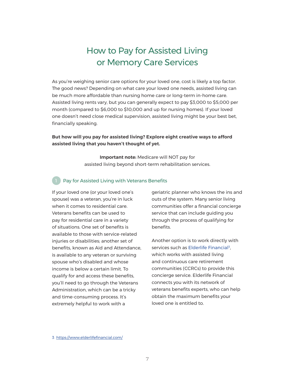# How to Pay for Assisted Living or Memory Care Services

<span id="page-6-0"></span>As you're weighing senior care options for your loved one, cost is likely a top factor. The good news? Depending on what care your loved one needs, assisted living can be much more affordable than nursing home care or long-term in-home care. Assisted living rents vary, but you can generally expect to pay \$3,000 to \$5,000 per month (compared to \$6,000 to \$10,000 and up for nursing homes). If your loved one doesn't need close medical supervision, assisted living might be your best bet, financially speaking.

**But how will you pay for assisted living? Explore eight creative ways to afford assisted living that you haven't thought of yet.**

> **Important note:** Medicare will NOT pay for assisted living beyond short-term rehabilitation services.

### Pay for Assisted Living with Veterans Benefits

If your loved one (or your loved one's spouse) was a veteran, you're in luck when it comes to residential care. Veterans benefits can be used to pay for residential care in a variety of situations. One set of benefits is available to those with service-related injuries or disabilities; another set of benefits, known as Aid and Attendance, is available to any veteran or surviving spouse who's disabled and whose income is below a certain limit. To qualify for and access these benefits, you'll need to go through the Veterans Administration, which can be a tricky and time-consuming process. It's extremely helpful to work with a

geriatric planner who knows the ins and outs of the system. Many senior living communities offer a financial concierge service that can include guiding you through the process of qualifying for benefits.

Another option is to work directly with services such as Elderlife [Financial](https://www.elderlifefinancial.com/)<sup>3</sup>, which works with assisted living and continuous care retirement communities (CCRCs) to provide this concierge service. Elderlife Financial connects you with its network of veterans benefits experts, who can help obtain the maximum benefits your loved one is entitled to.

3 <https://www.elderlifefinancial.com/>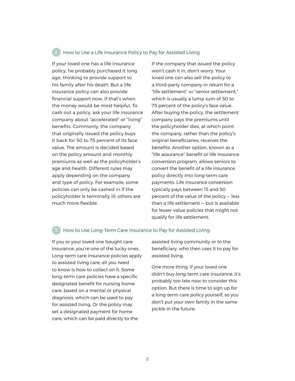### <span id="page-7-0"></span>How to Use a Life Insurance Policy to Pay for Assisted Living

If your loved one has a life insurance policy, he probably purchased it long ago, thinking to provide support to his family after his death. But a life insurance policy can also provide financial support now, if that's when the money would be most helpful. To cash out a policy, ask your life insurance company about "accelerated" or "living" benefits. Commonly, the company that originally issued the policy buys it back for 50 to 75 percent of its face value. The amount is decided based on the policy amount and monthly premiums as well as the policyholder's age and health. Different rules may apply depending on the company and type of policy. For example, some policies can only be cashed in if the policyholder is terminally ill; others are much more flexible.

If the company that issued the policy won't cash it in, don't worry. Your loved one can also sell the policy to a third-party company in return for a "life settlement" or "senior settlement," which is usually a lump sum of 50 to 75 percent of the policy's face value. After buying the policy, the settlement company pays the premiums until the policyholder dies, at which point the company, rather than the policy's original beneficiaries, receives the benefits. Another option, known as a "life assurance" benefit or life insurance conversion program, allows seniors to convert the benefit of a life insurance policy directly into long-term care payments. Life insurance conversion typically pays between 15 and 50 percent of the value of the policy — less than a life settlement — but is available for lesser-value policies that might not qualify for life settlement.

### How to Use Long-Term Care Insurance to Pay for Assisted Living

If you or your loved one bought care insurance, you're one of the lucky ones. Long-term care insurance policies apply to assisted living care; all you need to know is how to collect on it. Some long-term care policies have a specific designated benefit for nursing home care, based on a mental or physical diagnosis, which can be used to pay for assisted living. Or the policy may set a designated payment for home care, which can be paid directly to the

assisted living community or to the beneficiary, who then uses it to pay for assisted living.

One more thing: If your loved one didn't buy long-term care insurance, it's probably too late now to consider this option. But there is time to sign up for a long-term care policy yourself, so you don't put your own family in the same pickle in the future.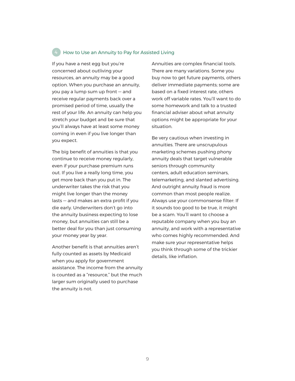### <span id="page-8-0"></span>How to Use an Annuity to Pay for Assisted Living

If you have a nest egg but you're concerned about outliving your resources, an annuity may be a good option. When you purchase an annuity, you pay a lump sum up front — and receive regular payments back over a promised period of time, usually the rest of your life. An annuity can help you stretch your budget and be sure that you'll always have at least some money coming in even if you live longer than you expect.

The big benefit of annuities is that you continue to receive money regularly, even if your purchase premium runs out. If you live a really long time, you get more back than you put in. The underwriter takes the risk that you might live longer than the money lasts — and makes an extra profit if you die early. Underwriters don't go into the annuity business expecting to lose money, but annuities can still be a better deal for you than just consuming your money year by year.

Another benefit is that annuities aren't fully counted as assets by Medicaid when you apply for government assistance. The income from the annuity is counted as a "resource," but the much larger sum originally used to purchase the annuity is not.

Annuities are complex financial tools. There are many variations. Some you buy now to get future payments, others deliver immediate payments; some are based on a fixed interest rate, others work off variable rates. You'll want to do some homework and talk to a trusted financial adviser about what annuity options might be appropriate for your situation.

Be very cautious when investing in annuities. There are unscrupulous marketing schemes pushing phony annuity deals that target vulnerable seniors through community centers, adult education seminars, telemarketing, and slanted advertising. And outright annuity fraud is more common than most people realize. Always use your commonsense filter: If it sounds too good to be true, it might be a scam. You'll want to choose a reputable company when you buy an annuity, and work with a representative who comes highly recommended. And make sure your representative helps you think through some of the trickier details, like inflation.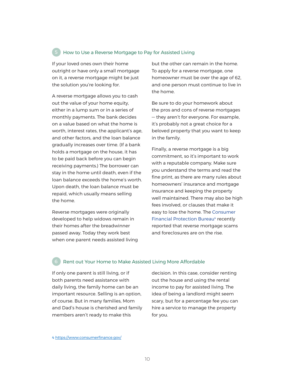### <span id="page-9-0"></span>5 How to Use <sup>a</sup> Reverse Mortgage to Pay for Assisted Living

If your loved ones own their home outright or have only a small mortgage on it, a reverse mortgage might be just the solution you're looking for.

A reverse mortgage allows you to cash out the value of your home equity, either in a lump sum or in a series of monthly payments. The bank decides on a value based on what the home is worth, interest rates, the applicant's age. and other factors, and the loan balance gradually increases over time. (If a bank holds a mortgage on the house, it has to be paid back before you can begin receiving payments.) The borrower can stay in the home until death, even if the loan balance exceeds the home's worth. Upon death, the loan balance must be repaid, which usually means selling the home.

Reverse mortgages were originally developed to help widows remain in their homes after the breadwinner passed away. Today they work best when one parent needs assisted living

but the other can remain in the home. To apply for a reverse mortgage, one homeowner must be over the age of 62, and one person must continue to live in the home.

Be sure to do your homework about the pros and cons of reverse mortgages — they aren't for everyone. For example, it's probably not a great choice for a beloved property that you want to keep in the family.

Finally, a reverse mortgage is a big commitment, so it's important to work with a reputable company. Make sure you understand the terms and read the fine print, as there are many rules about homeowners' insurance and mortgage insurance and keeping the property well maintained. There may also be high fees involved, or clauses that make it easy to lose the home. The Consumer Financial [Protection](https://www.consumerfinance.gov/) Bureau<sup>4</sup> recently reported that reverse mortgage scams and foreclosures are on the rise.

### Rent out Your Home to Make Assisted Living More Affordable

If only one parent is still living, or if both parents need assistance with daily living, the family home can be an important resource. Selling is an option, of course. But in many families, Mom and Dad's house is cherished and family members aren't ready to make this

decision. In this case, consider renting out the house and using the rental income to pay for assisted living. The idea of being a landlord might seem scary, but for a percentage fee you can hire a service to manage the property for you.

4 <https://www.consumerfinance.gov/>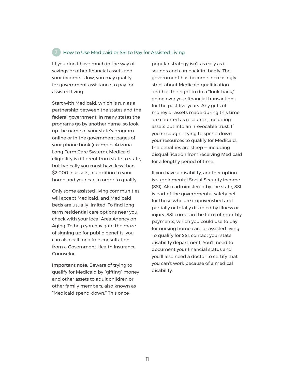### <span id="page-10-0"></span>How to Use Medicaid or SSI to Pay for Assisted Living

IIf you don't have much in the way of savings or other financial assets and your income is low, you may qualify for government assistance to pay for assisted living.

Start with Medicaid, which is run as a partnership between the states and the federal government. In many states the programs go by another name, so look up the name of your state's program online or in the government pages of your phone book (example: Arizona Long-Term Care System). Medicaid eligibility is different from state to state, but typically you must have less than \$2,000 in assets, in addition to your home and your car, in order to qualify.

Only some assisted living communities will accept Medicaid, and Medicaid beds are usually limited. To find longterm residential care options near you, check with your local Area Agency on Aging. To help you navigate the maze of signing up for public benefits, you can also call for a free consultation from a Government Health Insurance Counselor.

Important note: Beware of trying to qualify for Medicaid by "gifting" money and other assets to adult children or other family members, also known as "Medicaid spend-down." This once-

popular strategy isn't as easy as it sounds and can backfire badly. The government has become increasingly strict about Medicaid qualification and has the right to do a "look-back," going over your financial transactions for the past five years. Any gifts of money or assets made during this time are counted as resources, including assets put into an irrevocable trust. If you're caught trying to spend down your resources to qualify for Medicaid, the penalties are steep — including disqualification from receiving Medicaid for a lengthy period of time.

If you have a disability, another option is supplemental Social Security income (SSI). Also administered by the state, SSI is part of the governmental safety net for those who are impoverished and partially or totally disabled by illness or injury. SSI comes in the form of monthly payments, which you could use to pay for nursing home care or assisted living. To qualify for SSI, contact your state disability department. You'll need to document your financial status and you'll also need a doctor to certify that you can't work because of a medical disability.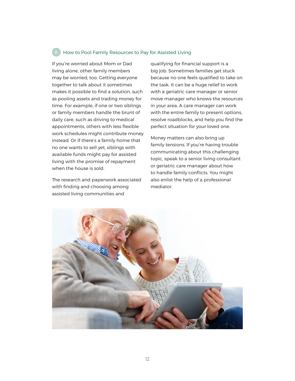### <span id="page-11-0"></span>How to Pool Family Resources to Pay for Assisted Living

If you're worried about Mom or Dad living alone, other family members may be worried, too. Getting everyone together to talk about it sometimes makes it possible to find a solution, such as pooling assets and trading money for time. For example, if one or two siblings or family members handle the brunt of daily care, such as driving to medical appointments, others with less flexible work schedules might contribute money instead. Or if there's a family home that no one wants to sell yet, siblings with available funds might pay for assisted living with the promise of repayment when the house is sold.

The research and paperwork associated with finding and choosing among assisted living communities and

qualifying for financial support is a big job. Sometimes families get stuck because no one feels qualified to take on the task. It can be a huge relief to work with a geriatric care manager or senior move manager who knows the resources in your area. A care manager can work with the entire family to present options, resolve roadblocks, and help you find the perfect situation for your loved one.

Money matters can also bring up family tensions. If you're having trouble communicating about this challenging topic, speak to a senior living consultant or geriatric care manager about how to handle family conflicts. You might also enlist the help of a professional mediator.

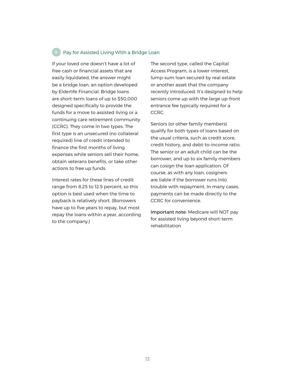## <span id="page-12-0"></span>Pay for Assisted Living With a Bridge Loan

If your loved one doesn't have a lot of free cash or financial assets that are easily liquidated, the answer might be a bridge loan, an option developed by Elderlife Financial. Bridge loans are short-term loans of up to \$50,000 designed specifically to provide the funds for a move to assisted living or a continuing care retirement community (CCRC). They come in two types. The first type is an unsecured (no collateral required) line of credit intended to finance the first months of living expenses while seniors sell their home, obtain veterans benefits, or take other actions to free up funds.

Interest rates for these lines of credit range from 8.25 to 12.5 percent, so this option is best used when the time to payback is relatively short. (Borrowers have up to five years to repay, but most repay the loans within a year, according to the company.)

The second type, called the Capital Access Program, is a lower-interest, lump-sum loan secured by real estate or another asset that the company recently introduced. It's designed to help seniors come up with the large up-front entrance fee typically required for a CCRC.

Seniors (or other family members) qualify for both types of loans based on the usual criteria, such as credit score, credit history, and debt-to-income ratio. The senior or an adult child can be the borrower, and up to six family members can cosign the loan application. Of course, as with any loan, cosigners are liable if the borrower runs into trouble with repayment. In many cases, payments can be made directly to the CCRC for convenience.

Important note: Medicare will NOT pay for assisted living beyond short-term rehabilitation